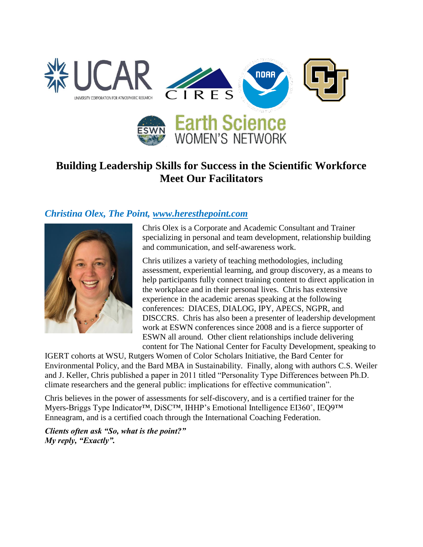

# **Building Leadership Skills for Success in the Scientific Workforce Meet Our Facilitators**

#### *Christina Olex, The Point, [www.heresthepoint.com](http://www.heresthepoint.com/)*



Chris Olex is a Corporate and Academic Consultant and Trainer specializing in personal and team development, relationship building and communication, and self-awareness work.

Chris utilizes a variety of teaching methodologies, including assessment, experiential learning, and group discovery, as a means to help participants fully connect training content to direct application in the workplace and in their personal lives. Chris has extensive experience in the academic arenas speaking at the following conferences: DIACES, DIALOG, IPY, APECS, NGPR, and DISCCRS. Chris has also been a presenter of leadership development work at ESWN conferences since 2008 and is a fierce supporter of ESWN all around. Other client relationships include delivering content for The National Center for Faculty Development, speaking to

IGERT cohorts at WSU, Rutgers Women of Color Scholars Initiative, the Bard Center for Environmental Policy, and the Bard MBA in Sustainability. Finally, along with authors C.S. Weiler and J. Keller, Chris published a paper in 2011 titled "Personality Type Differences between Ph.D. climate researchers and the general public: implications for effective communication".

Chris believes in the power of assessments for self-discovery, and is a certified trainer for the Myers-Briggs Type Indicator™, DiSC™, IHHP's Emotional Intelligence EI360°, IEQ9™ Enneagram, and is a certified coach through the International Coaching Federation.

*Clients often ask "So, what is the point?" My reply, "Exactly".*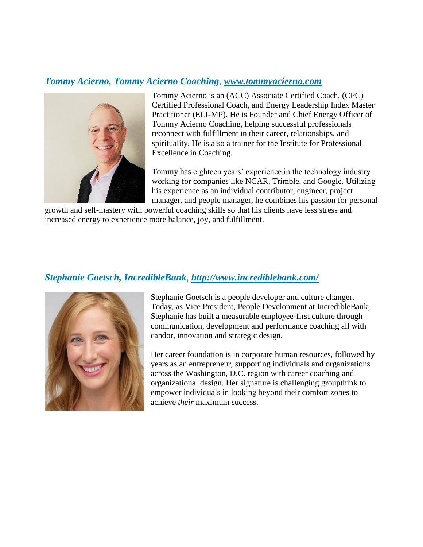#### *Tommy Acierno, Tommy Acierno Coaching*, *[www.tommyacierno.com](http://secure-web.cisco.com/1WTat1uM6U5tYHLfNsuf9PSUcWtr0QNqYQjBlf0d2FdbFx4U32LT-exCRcf2YLS7s-OfDC9KuBmIY1pHhon5xbZ4BlEhRcTstomBV3C4hWKFrXAOkBi9vnwGajRHFb6Ep3Tt4KtrKN1i5MR5UUeOifq5HhIhyKO-iot86NZOvAPjXOyItxNI49qEoHBZ4laljuizUIt6QdEGjU90-HZaseqi9BTFg34hQ8581RITzZRgGqu_fgQ9zNSnz5ZEVVHmc1KHis13I554dZjqa4YcN6uifee8aJTUk_oHv5QUn3EQVl5Gvx3-mSNtN7LvPeKCKWWKgHz_MjO7j4tn2-6gaoGpq2Np3sHauCMgpwr0MD-NhUsRUE25t0ol6WbdAeTYuVLzT8LVGThvPbwkRJVQEx-inc6md1FB5i9NN3fAzuQmNz-9ibMHaBQAI4t8imUp9XPukmn5T_ZtgcgPG4EydxMDVLC5r97u2kFLHLhLsix0/http%3A%2F%2Fwww.tommyacierno.com)*



Tommy Acierno is an (ACC) Associate Certified Coach, (CPC) Certified Professional Coach, and Energy Leadership Index Master Practitioner (ELI-MP). He is Founder and Chief Energy Officer of Tommy Acierno Coaching, helping successful professionals reconnect with fulfillment in their career, relationships, and spirituality. He is also a trainer for the Institute for Professional Excellence in Coaching.

Tommy has eighteen years' experience in the technology industry working for companies like NCAR, Trimble, and Google. Utilizing his experience as an individual contributor, engineer, project manager, and people manager, he combines his passion for personal

growth and self-mastery with powerful coaching skills so that his clients have less stress and increased energy to experience more balance, joy, and fulfillment.

#### *Stephanie Goetsch, IncredibleBank*, *<http://www.incrediblebank.com/>*



Stephanie Goetsch is a people developer and culture changer. Today, as Vice President, People Development at IncredibleBank, Stephanie has built a measurable employee-first culture through communication, development and performance coaching all with candor, innovation and strategic design.

Her career foundation is in corporate human resources, followed by years as an entrepreneur, supporting individuals and organizations across the Washington, D.C. region with career coaching and organizational design. Her signature is challenging groupthink to empower individuals in looking beyond their comfort zones to achieve *their* maximum success.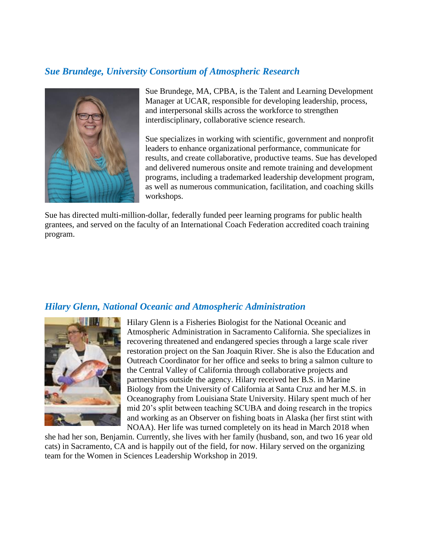## *Sue Brundege, University Consortium of Atmospheric Research*



Sue Brundege, MA, CPBA, is the Talent and Learning Development Manager at UCAR, responsible for developing leadership, process, and interpersonal skills across the workforce to strengthen interdisciplinary, collaborative science research.

Sue specializes in working with scientific, government and nonprofit leaders to enhance organizational performance, communicate for results, and create collaborative, productive teams. Sue has developed and delivered numerous onsite and remote training and development programs, including a trademarked leadership development program, as well as numerous communication, facilitation, and coaching skills workshops.

Sue has directed multi-million-dollar, federally funded peer learning programs for public health grantees, and served on the faculty of an International Coach Federation accredited coach training program.

#### *Hilary Glenn, National Oceanic and Atmospheric Administration*



Hilary Glenn is a Fisheries Biologist for the National Oceanic and Atmospheric Administration in Sacramento California. She specializes in recovering threatened and endangered species through a large scale river restoration project on the San Joaquin River. She is also the Education and Outreach Coordinator for her office and seeks to bring a salmon culture to the Central Valley of California through collaborative projects and partnerships outside the agency. Hilary received her B.S. in Marine Biology from the University of California at Santa Cruz and her M.S. in Oceanography from Louisiana State University. Hilary spent much of her mid 20's split between teaching SCUBA and doing research in the tropics and working as an Observer on fishing boats in Alaska (her first stint with NOAA). Her life was turned completely on its head in March 2018 when

she had her son, Benjamin. Currently, she lives with her family (husband, son, and two 16 year old cats) in Sacramento, CA and is happily out of the field, for now. Hilary served on the organizing team for the Women in Sciences Leadership Workshop in 2019.